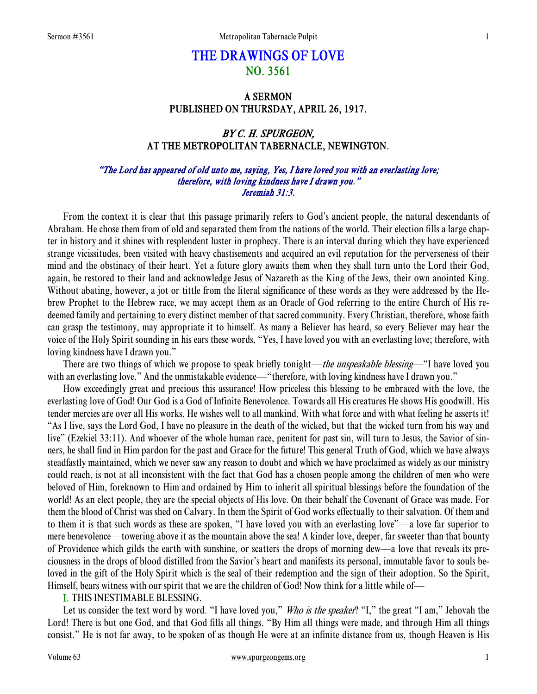# THE DRAWINGS OF LOVE NO. 3561

## A SERMON PUBLISHED ON THURSDAY, APRIL 26, 1917.

## BY C. H. SPURGEON, AT THE METROPOLITAN TABERNACLE, NEWINGTON.

## "The Lord has appeared of old unto me, saying, Yes, I have loved you with an everlasting love; therefore, with loving kindness have I drawn you." Jeremiah 31:3.

From the context it is clear that this passage primarily refers to God's ancient people, the natural descendants of Abraham. He chose them from of old and separated them from the nations of the world. Their election fills a large chapter in history and it shines with resplendent luster in prophecy. There is an interval during which they have experienced strange vicissitudes, been visited with heavy chastisements and acquired an evil reputation for the perverseness of their mind and the obstinacy of their heart. Yet a future glory awaits them when they shall turn unto the Lord their God, again, be restored to their land and acknowledge Jesus of Nazareth as the King of the Jews, their own anointed King. Without abating, however, a jot or tittle from the literal significance of these words as they were addressed by the Hebrew Prophet to the Hebrew race, we may accept them as an Oracle of God referring to the entire Church of His redeemed family and pertaining to every distinct member of that sacred community. Every Christian, therefore, whose faith can grasp the testimony, may appropriate it to himself. As many a Believer has heard, so every Believer may hear the voice of the Holy Spirit sounding in his ears these words, "Yes, I have loved you with an everlasting love; therefore, with loving kindness have I drawn you."

There are two things of which we propose to speak briefly tonight—the unspeakable blessing—"I have loved you with an everlasting love." And the unmistakable evidence—"therefore, with loving kindness have I drawn you."

 How exceedingly great and precious this assurance! How priceless this blessing to be embraced with the love, the everlasting love of God! Our God is a God of Infinite Benevolence. Towards all His creatures He shows His goodwill. His tender mercies are over all His works. He wishes well to all mankind. With what force and with what feeling he asserts it! "As I live, says the Lord God, I have no pleasure in the death of the wicked, but that the wicked turn from his way and live" (Ezekiel 33:11). And whoever of the whole human race, penitent for past sin, will turn to Jesus, the Savior of sinners, he shall find in Him pardon for the past and Grace for the future! This general Truth of God, which we have always steadfastly maintained, which we never saw any reason to doubt and which we have proclaimed as widely as our ministry could reach, is not at all inconsistent with the fact that God has a chosen people among the children of men who were beloved of Him, foreknown to Him and ordained by Him to inherit all spiritual blessings before the foundation of the world! As an elect people, they are the special objects of His love. On their behalf the Covenant of Grace was made. For them the blood of Christ was shed on Calvary. In them the Spirit of God works effectually to their salvation. Of them and to them it is that such words as these are spoken, "I have loved you with an everlasting love"—a love far superior to mere benevolence—towering above it as the mountain above the sea! A kinder love, deeper, far sweeter than that bounty of Providence which gilds the earth with sunshine, or scatters the drops of morning dew—a love that reveals its preciousness in the drops of blood distilled from the Savior's heart and manifests its personal, immutable favor to souls beloved in the gift of the Holy Spirit which is the seal of their redemption and the sign of their adoption. So the Spirit, Himself, bears witness with our spirit that we are the children of God! Now think for a little while of—

## I. THIS INESTIMABLE BLESSING.

Let us consider the text word by word. "I have loved you," Who is the speaker? "I," the great "I am," Jehovah the Lord! There is but one God, and that God fills all things. "By Him all things were made, and through Him all things consist." He is not far away, to be spoken of as though He were at an infinite distance from us, though Heaven is His

#### Volume 63 www.spurgeongems.org 1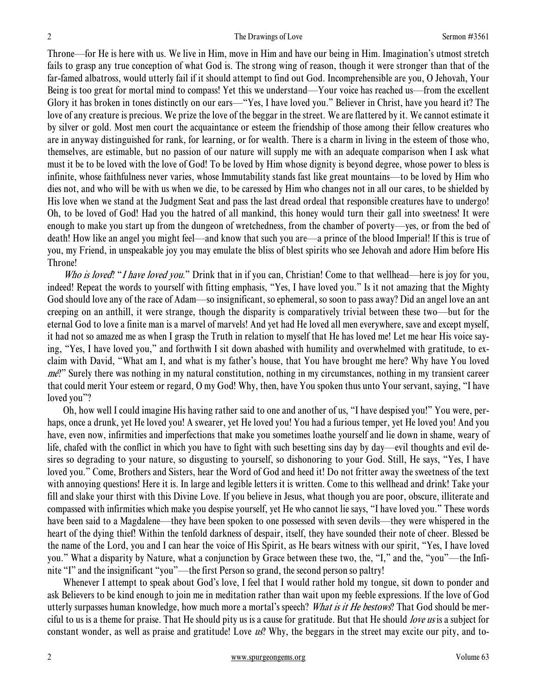Throne—for He is here with us. We live in Him, move in Him and have our being in Him. Imagination's utmost stretch fails to grasp any true conception of what God is. The strong wing of reason, though it were stronger than that of the far-famed albatross, would utterly fail if it should attempt to find out God. Incomprehensible are you, O Jehovah, Your Being is too great for mortal mind to compass! Yet this we understand—Your voice has reached us—from the excellent Glory it has broken in tones distinctly on our ears—"Yes, I have loved you." Believer in Christ, have you heard it? The love of any creature is precious. We prize the love of the beggar in the street. We are flattered by it. We cannot estimate it by silver or gold. Most men court the acquaintance or esteem the friendship of those among their fellow creatures who are in anyway distinguished for rank, for learning, or for wealth. There is a charm in living in the esteem of those who, themselves, are estimable, but no passion of our nature will supply me with an adequate comparison when I ask what must it be to be loved with the love of God! To be loved by Him whose dignity is beyond degree, whose power to bless is infinite, whose faithfulness never varies, whose Immutability stands fast like great mountains—to be loved by Him who dies not, and who will be with us when we die, to be caressed by Him who changes not in all our cares, to be shielded by His love when we stand at the Judgment Seat and pass the last dread ordeal that responsible creatures have to undergo! Oh, to be loved of God! Had you the hatred of all mankind, this honey would turn their gall into sweetness! It were enough to make you start up from the dungeon of wretchedness, from the chamber of poverty—yes, or from the bed of death! How like an angel you might feel—and know that such you are—a prince of the blood Imperial! If this is true of you, my Friend, in unspeakable joy you may emulate the bliss of blest spirits who see Jehovah and adore Him before His Throne!

Who is loved! "I have loved you." Drink that in if you can, Christian! Come to that wellhead—here is joy for you, indeed! Repeat the words to yourself with fitting emphasis, "Yes, I have loved you." Is it not amazing that the Mighty God should love any of the race of Adam—so insignificant, so ephemeral, so soon to pass away? Did an angel love an ant creeping on an anthill, it were strange, though the disparity is comparatively trivial between these two—but for the eternal God to love a finite man is a marvel of marvels! And yet had He loved all men everywhere, save and except myself, it had not so amazed me as when I grasp the Truth in relation to myself that He has loved me! Let me hear His voice saying, "Yes, I have loved you," and forthwith I sit down abashed with humility and overwhelmed with gratitude, to exclaim with David, "What am I, and what is my father's house, that You have brought me here? Why have You loved me?" Surely there was nothing in my natural constitution, nothing in my circumstances, nothing in my transient career that could merit Your esteem or regard, O my God! Why, then, have You spoken thus unto Your servant, saying, "I have loved you"?

 Oh, how well I could imagine His having rather said to one and another of us, "I have despised you!" You were, perhaps, once a drunk, yet He loved you! A swearer, yet He loved you! You had a furious temper, yet He loved you! And you have, even now, infirmities and imperfections that make you sometimes loathe yourself and lie down in shame, weary of life, chafed with the conflict in which you have to fight with such besetting sins day by day—evil thoughts and evil desires so degrading to your nature, so disgusting to yourself, so dishonoring to your God. Still, He says, "Yes, I have loved you." Come, Brothers and Sisters, hear the Word of God and heed it! Do not fritter away the sweetness of the text with annoying questions! Here it is. In large and legible letters it is written. Come to this wellhead and drink! Take your fill and slake your thirst with this Divine Love. If you believe in Jesus, what though you are poor, obscure, illiterate and compassed with infirmities which make you despise yourself, yet He who cannot lie says, "I have loved you." These words have been said to a Magdalene—they have been spoken to one possessed with seven devils—they were whispered in the heart of the dying thief! Within the tenfold darkness of despair, itself, they have sounded their note of cheer. Blessed be the name of the Lord, you and I can hear the voice of His Spirit, as He bears witness with our spirit, "Yes, I have loved you." What a disparity by Nature, what a conjunction by Grace between these two, the, "I," and the, "you"—the Infinite "I" and the insignificant "you"—the first Person so grand, the second person so paltry!

 Whenever I attempt to speak about God's love, I feel that I would rather hold my tongue, sit down to ponder and ask Believers to be kind enough to join me in meditation rather than wait upon my feeble expressions. If the love of God utterly surpasses human knowledge, how much more a mortal's speech? What is it He bestows? That God should be merciful to us is a theme for praise. That He should pity us is a cause for gratitude. But that He should love us is a subject for constant wonder, as well as praise and gratitude! Love  $\mu s$ ? Why, the beggars in the street may excite our pity, and to-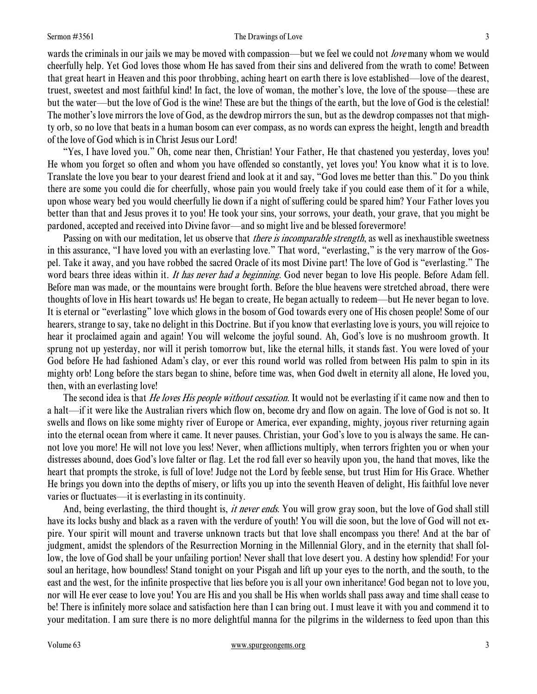#### Sermon #3561 The Drawings of Love 3

wards the criminals in our jails we may be moved with compassion—but we feel we could not *love* many whom we would cheerfully help. Yet God loves those whom He has saved from their sins and delivered from the wrath to come! Between that great heart in Heaven and this poor throbbing, aching heart on earth there is love established—love of the dearest, truest, sweetest and most faithful kind! In fact, the love of woman, the mother's love, the love of the spouse—these are but the water—but the love of God is the wine! These are but the things of the earth, but the love of God is the celestial! The mother's love mirrors the love of God, as the dewdrop mirrors the sun, but as the dewdrop compasses not that mighty orb, so no love that beats in a human bosom can ever compass, as no words can express the height, length and breadth of the love of God which is in Christ Jesus our Lord!

 "Yes, I have loved you." Oh, come near then, Christian! Your Father, He that chastened you yesterday, loves you! He whom you forget so often and whom you have offended so constantly, yet loves you! You know what it is to love. Translate the love you bear to your dearest friend and look at it and say, "God loves me better than this." Do you think there are some you could die for cheerfully, whose pain you would freely take if you could ease them of it for a while, upon whose weary bed you would cheerfully lie down if a night of suffering could be spared him? Your Father loves you better than that and Jesus proves it to you! He took your sins, your sorrows, your death, your grave, that you might be pardoned, accepted and received into Divine favor—and so might live and be blessed forevermore!

Passing on with our meditation, let us observe that *there is incomparable strength*, as well as inexhaustible sweetness in this assurance, "I have loved you with an everlasting love." That word, "everlasting," is the very marrow of the Gospel. Take it away, and you have robbed the sacred Oracle of its most Divine part! The love of God is "everlasting." The word bears three ideas within it. It has never had a beginning. God never began to love His people. Before Adam fell. Before man was made, or the mountains were brought forth. Before the blue heavens were stretched abroad, there were thoughts of love in His heart towards us! He began to create, He began actually to redeem—but He never began to love. It is eternal or "everlasting" love which glows in the bosom of God towards every one of His chosen people! Some of our hearers, strange to say, take no delight in this Doctrine. But if you know that everlasting love is yours, you will rejoice to hear it proclaimed again and again! You will welcome the joyful sound. Ah, God's love is no mushroom growth. It sprung not up yesterday, nor will it perish tomorrow but, like the eternal hills, it stands fast. You were loved of your God before He had fashioned Adam's clay, or ever this round world was rolled from between His palm to spin in its mighty orb! Long before the stars began to shine, before time was, when God dwelt in eternity all alone, He loved you, then, with an everlasting love!

The second idea is that *He loves His people without cessation*. It would not be everlasting if it came now and then to a halt—if it were like the Australian rivers which flow on, become dry and flow on again. The love of God is not so. It swells and flows on like some mighty river of Europe or America, ever expanding, mighty, joyous river returning again into the eternal ocean from where it came. It never pauses. Christian, your God's love to you is always the same. He cannot love you more! He will not love you less! Never, when afflictions multiply, when terrors frighten you or when your distresses abound, does God's love falter or flag. Let the rod fall ever so heavily upon you, the hand that moves, like the heart that prompts the stroke, is full of love! Judge not the Lord by feeble sense, but trust Him for His Grace. Whether He brings you down into the depths of misery, or lifts you up into the seventh Heaven of delight, His faithful love never varies or fluctuates—it is everlasting in its continuity.

And, being everlasting, the third thought is, it never ends. You will grow gray soon, but the love of God shall still have its locks bushy and black as a raven with the verdure of youth! You will die soon, but the love of God will not expire. Your spirit will mount and traverse unknown tracts but that love shall encompass you there! And at the bar of judgment, amidst the splendors of the Resurrection Morning in the Millennial Glory, and in the eternity that shall follow, the love of God shall be your unfailing portion! Never shall that love desert you. A destiny how splendid! For your soul an heritage, how boundless! Stand tonight on your Pisgah and lift up your eyes to the north, and the south, to the east and the west, for the infinite prospective that lies before you is all your own inheritance! God began not to love you, nor will He ever cease to love you! You are His and you shall be His when worlds shall pass away and time shall cease to be! There is infinitely more solace and satisfaction here than I can bring out. I must leave it with you and commend it to your meditation. I am sure there is no more delightful manna for the pilgrims in the wilderness to feed upon than this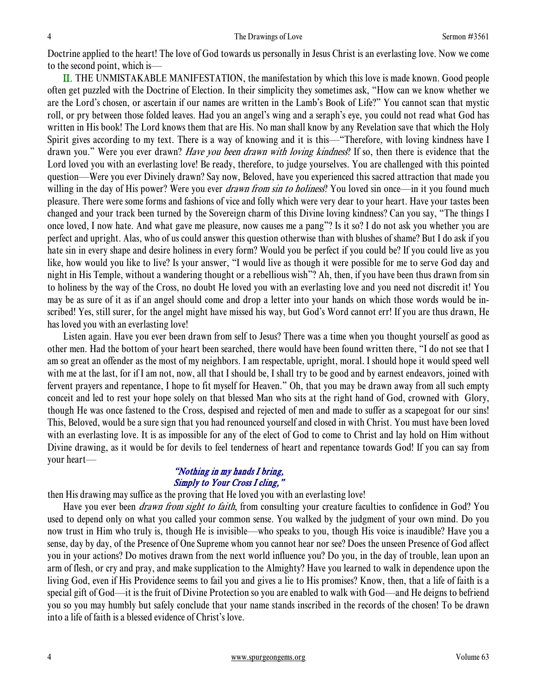Doctrine applied to the heart! The love of God towards us personally in Jesus Christ is an everlasting love. Now we come to the second point, which is—

II. THE UNMISTAKABLE MANIFESTATION, the manifestation by which this love is made known. Good people often get puzzled with the Doctrine of Election. In their simplicity they sometimes ask, "How can we know whether we are the Lord's chosen, or ascertain if our names are written in the Lamb's Book of Life?" You cannot scan that mystic roll, or pry between those folded leaves. Had you an angel's wing and a seraph's eye, you could not read what God has written in His book! The Lord knows them that are His. No man shall know by any Revelation save that which the Holy Spirit gives according to my text. There is a way of knowing and it is this—"Therefore, with loving kindness have I drawn you." Were you ever drawn? Have you been drawn with loving kindness? If so, then there is evidence that the Lord loved you with an everlasting love! Be ready, therefore, to judge yourselves. You are challenged with this pointed question—Were you ever Divinely drawn? Say now, Beloved, have you experienced this sacred attraction that made you willing in the day of His power? Were you ever *drawn from sin to holiness*? You loved sin once—in it you found much pleasure. There were some forms and fashions of vice and folly which were very dear to your heart. Have your tastes been changed and your track been turned by the Sovereign charm of this Divine loving kindness? Can you say, "The things I once loved, I now hate. And what gave me pleasure, now causes me a pang"? Is it so? I do not ask you whether you are perfect and upright. Alas, who of us could answer this question otherwise than with blushes of shame? But I do ask if you hate sin in every shape and desire holiness in every form? Would you be perfect if you could be? If you could live as you like, how would you like to live? Is your answer, "I would live as though it were possible for me to serve God day and night in His Temple, without a wandering thought or a rebellious wish"? Ah, then, if you have been thus drawn from sin to holiness by the way of the Cross, no doubt He loved you with an everlasting love and you need not discredit it! You may be as sure of it as if an angel should come and drop a letter into your hands on which those words would be inscribed! Yes, still surer, for the angel might have missed his way, but God's Word cannot err! If you are thus drawn, He has loved you with an everlasting love!

 Listen again. Have you ever been drawn from self to Jesus? There was a time when you thought yourself as good as other men. Had the bottom of your heart been searched, there would have been found written there, "I do not see that I am so great an offender as the most of my neighbors. I am respectable, upright, moral. I should hope it would speed well with me at the last, for if I am not, now, all that I should be, I shall try to be good and by earnest endeavors, joined with fervent prayers and repentance, I hope to fit myself for Heaven." Oh, that you may be drawn away from all such empty conceit and led to rest your hope solely on that blessed Man who sits at the right hand of God, crowned with Glory, though He was once fastened to the Cross, despised and rejected of men and made to suffer as a scapegoat for our sins! This, Beloved, would be a sure sign that you had renounced yourself and closed in with Christ. You must have been loved with an everlasting love. It is as impossible for any of the elect of God to come to Christ and lay hold on Him without Divine drawing, as it would be for devils to feel tenderness of heart and repentance towards God! If you can say from your heart—

### "Nothing in my hands I bring, Simply to Your Cross I cling,"

then His drawing may suffice as the proving that He loved you with an everlasting love!

Have you ever been *drawn from sight to faith*, from consulting your creature faculties to confidence in God? You used to depend only on what you called your common sense. You walked by the judgment of your own mind. Do you now trust in Him who truly is, though He is invisible—who speaks to you, though His voice is inaudible? Have you a sense, day by day, of the Presence of One Supreme whom you cannot hear nor see? Does the unseen Presence of God affect you in your actions? Do motives drawn from the next world influence you? Do you, in the day of trouble, lean upon an arm of flesh, or cry and pray, and make supplication to the Almighty? Have you learned to walk in dependence upon the living God, even if His Providence seems to fail you and gives a lie to His promises? Know, then, that a life of faith is a special gift of God—it is the fruit of Divine Protection so you are enabled to walk with God—and He deigns to befriend you so you may humbly but safely conclude that your name stands inscribed in the records of the chosen! To be drawn into a life of faith is a blessed evidence of Christ's love.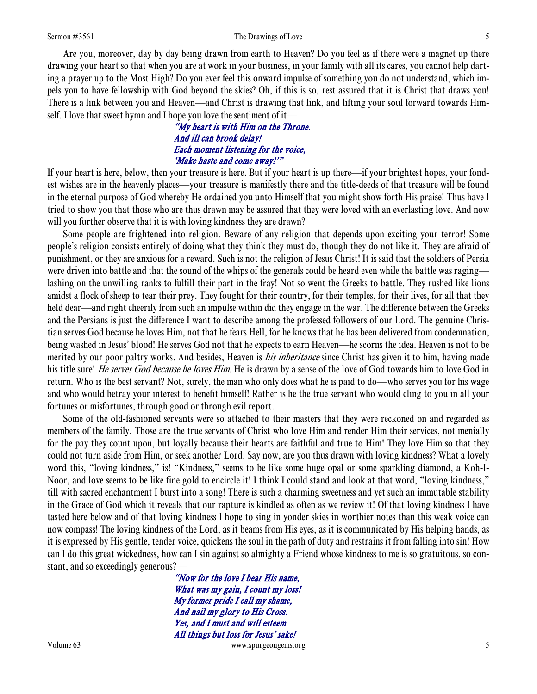#### Sermon #3561 Sermon #3561 Sermon #3561 Sermon #3561 Sermon #3561 Sermon #3561 Sermon #3561 Sermon #3561 Sermon #3561 Sermon #3561 Sermon #3561 Sermon #3561 Sermon #3561 Sermon #3561 Sermon #3561 Sermon #3561 Sermon #3561 S

 Are you, moreover, day by day being drawn from earth to Heaven? Do you feel as if there were a magnet up there drawing your heart so that when you are at work in your business, in your family with all its cares, you cannot help darting a prayer up to the Most High? Do you ever feel this onward impulse of something you do not understand, which impels you to have fellowship with God beyond the skies? Oh, if this is so, rest assured that it is Christ that draws you! There is a link between you and Heaven—and Christ is drawing that link, and lifting your soul forward towards Himself. I love that sweet hymn and I hope you love the sentiment of it—

> "My heart is with Him on the Throne. And ill can brook delay! Each moment listening for the voice, 'Make haste and come away!'"

If your heart is here, below, then your treasure is here. But if your heart is up there—if your brightest hopes, your fondest wishes are in the heavenly places—your treasure is manifestly there and the title-deeds of that treasure will be found in the eternal purpose of God whereby He ordained you unto Himself that you might show forth His praise! Thus have I tried to show you that those who are thus drawn may be assured that they were loved with an everlasting love. And now will you further observe that it is with loving kindness they are drawn?

 Some people are frightened into religion. Beware of any religion that depends upon exciting your terror! Some people's religion consists entirely of doing what they think they must do, though they do not like it. They are afraid of punishment, or they are anxious for a reward. Such is not the religion of Jesus Christ! It is said that the soldiers of Persia were driven into battle and that the sound of the whips of the generals could be heard even while the battle was raging lashing on the unwilling ranks to fulfill their part in the fray! Not so went the Greeks to battle. They rushed like lions amidst a flock of sheep to tear their prey. They fought for their country, for their temples, for their lives, for all that they held dear—and right cheerily from such an impulse within did they engage in the war. The difference between the Greeks and the Persians is just the difference I want to describe among the professed followers of our Lord. The genuine Christian serves God because he loves Him, not that he fears Hell, for he knows that he has been delivered from condemnation, being washed in Jesus' blood! He serves God not that he expects to earn Heaven—he scorns the idea. Heaven is not to be merited by our poor paltry works. And besides, Heaven is *his inheritance* since Christ has given it to him, having made his title sure! *He serves God because he loves Him*. He is drawn by a sense of the love of God towards him to love God in return. Who is the best servant? Not, surely, the man who only does what he is paid to do—who serves you for his wage and who would betray your interest to benefit himself! Rather is he the true servant who would cling to you in all your fortunes or misfortunes, through good or through evil report.

 Some of the old-fashioned servants were so attached to their masters that they were reckoned on and regarded as members of the family. Those are the true servants of Christ who love Him and render Him their services, not menially for the pay they count upon, but loyally because their hearts are faithful and true to Him! They love Him so that they could not turn aside from Him, or seek another Lord. Say now, are you thus drawn with loving kindness? What a lovely word this, "loving kindness," is! "Kindness," seems to be like some huge opal or some sparkling diamond, a Koh-I-Noor, and love seems to be like fine gold to encircle it! I think I could stand and look at that word, "loving kindness," till with sacred enchantment I burst into a song! There is such a charming sweetness and yet such an immutable stability in the Grace of God which it reveals that our rapture is kindled as often as we review it! Of that loving kindness I have tasted here below and of that loving kindness I hope to sing in yonder skies in worthier notes than this weak voice can now compass! The loving kindness of the Lord, as it beams from His eyes, as it is communicated by His helping hands, as it is expressed by His gentle, tender voice, quickens the soul in the path of duty and restrains it from falling into sin! How can I do this great wickedness, how can I sin against so almighty a Friend whose kindness to me is so gratuitous, so constant, and so exceedingly generous?—

Volume 63 www.spurgeongems.org 5 "Now for the love I bear His name, What was my gain, I count my loss! My former pride I call my shame, And nail my glory to His Cross. Yes, and I must and will esteem All things but loss for Jesus' sake!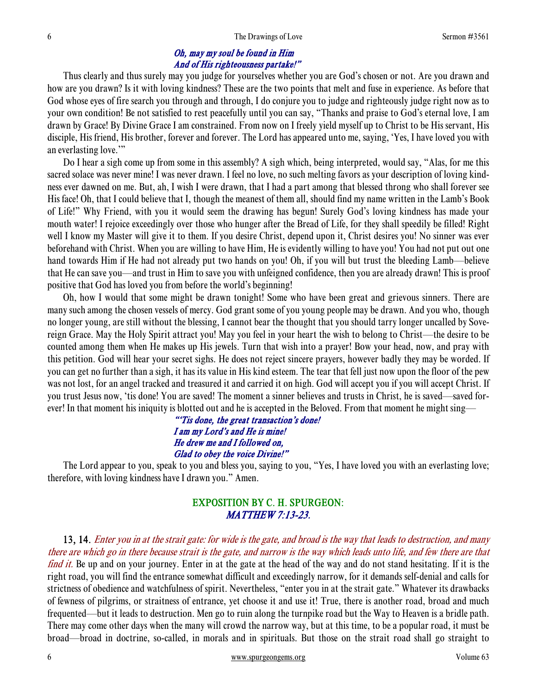## Oh, may my soul be found in Him And of His righteousness partake!"

 Thus clearly and thus surely may you judge for yourselves whether you are God's chosen or not. Are you drawn and how are you drawn? Is it with loving kindness? These are the two points that melt and fuse in experience. As before that God whose eyes of fire search you through and through, I do conjure you to judge and righteously judge right now as to your own condition! Be not satisfied to rest peacefully until you can say, "Thanks and praise to God's eternal love, I am drawn by Grace! By Divine Grace I am constrained. From now on I freely yield myself up to Christ to be His servant, His disciple, His friend, His brother, forever and forever. The Lord has appeared unto me, saying, 'Yes, I have loved you with an everlasting love.'"

 Do I hear a sigh come up from some in this assembly? A sigh which, being interpreted, would say, "Alas, for me this sacred solace was never mine! I was never drawn. I feel no love, no such melting favors as your description of loving kindness ever dawned on me. But, ah, I wish I were drawn, that I had a part among that blessed throng who shall forever see His face! Oh, that I could believe that I, though the meanest of them all, should find my name written in the Lamb's Book of Life!" Why Friend, with you it would seem the drawing has begun! Surely God's loving kindness has made your mouth water! I rejoice exceedingly over those who hunger after the Bread of Life, for they shall speedily be filled! Right well I know my Master will give it to them. If you desire Christ, depend upon it, Christ desires you! No sinner was ever beforehand with Christ. When you are willing to have Him, He is evidently willing to have you! You had not put out one hand towards Him if He had not already put two hands on you! Oh, if you will but trust the bleeding Lamb—believe that He can save you—and trust in Him to save you with unfeigned confidence, then you are already drawn! This is proof positive that God has loved you from before the world's beginning!

 Oh, how I would that some might be drawn tonight! Some who have been great and grievous sinners. There are many such among the chosen vessels of mercy. God grant some of you young people may be drawn. And you who, though no longer young, are still without the blessing, I cannot bear the thought that you should tarry longer uncalled by Sovereign Grace. May the Holy Spirit attract you! May you feel in your heart the wish to belong to Christ—the desire to be counted among them when He makes up His jewels. Turn that wish into a prayer! Bow your head, now, and pray with this petition. God will hear your secret sighs. He does not reject sincere prayers, however badly they may be worded. If you can get no further than a sigh, it has its value in His kind esteem. The tear that fell just now upon the floor of the pew was not lost, for an angel tracked and treasured it and carried it on high. God will accept you if you will accept Christ. If you trust Jesus now, 'tis done! You are saved! The moment a sinner believes and trusts in Christ, he is saved—saved forever! In that moment his iniquity is blotted out and he is accepted in the Beloved. From that moment he might sing—

## "'Tis done, the great transaction's done! I am my Lord's and He is mine! He drew me and I followed on, Glad to obey the voice Divine!"

 The Lord appear to you, speak to you and bless you, saying to you, "Yes, I have loved you with an everlasting love; therefore, with loving kindness have I drawn you." Amen.

## EXPOSITION BY C. H. SPURGEON: MATTHEW 7:13-23.

13, 14. Enter you in at the strait gate: for wide is the gate, and broad is the way that leads to destruction, and many there are which go in there because strait is the gate, and narrow is the way which leads unto life, and few there are that find it. Be up and on your journey. Enter in at the gate at the head of the way and do not stand hesitating. If it is the right road, you will find the entrance somewhat difficult and exceedingly narrow, for it demands self-denial and calls for strictness of obedience and watchfulness of spirit. Nevertheless, "enter you in at the strait gate." Whatever its drawbacks of fewness of pilgrims, or straitness of entrance, yet choose it and use it! True, there is another road, broad and much frequented—but it leads to destruction. Men go to ruin along the turnpike road but the Way to Heaven is a bridle path. There may come other days when the many will crowd the narrow way, but at this time, to be a popular road, it must be broad—broad in doctrine, so-called, in morals and in spirituals. But those on the strait road shall go straight to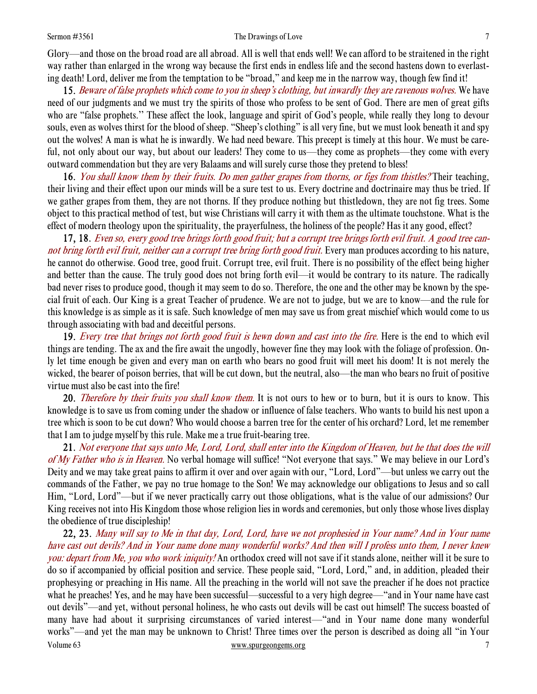#### Sermon #3561 The Drawings of Love 7

Glory—and those on the broad road are all abroad. All is well that ends well! We can afford to be straitened in the right way rather than enlarged in the wrong way because the first ends in endless life and the second hastens down to everlasting death! Lord, deliver me from the temptation to be "broad," and keep me in the narrow way, though few find it!

15. Beware of false prophets which come to you in sheep's clothing, but inwardly they are ravenous wolves. We have need of our judgments and we must try the spirits of those who profess to be sent of God. There are men of great gifts who are "false prophets." These affect the look, language and spirit of God's people, while really they long to devour souls, even as wolves thirst for the blood of sheep. "Sheep's clothing" is all very fine, but we must look beneath it and spy out the wolves! A man is what he is inwardly. We had need beware. This precept is timely at this hour. We must be careful, not only about our way, but about our leaders! They come to us—they come as prophets—they come with every outward commendation but they are very Balaams and will surely curse those they pretend to bless!

16. You shall know them by their fruits. Do men gather grapes from thorns, or figs from thistles? Their teaching, their living and their effect upon our minds will be a sure test to us. Every doctrine and doctrinaire may thus be tried. If we gather grapes from them, they are not thorns. If they produce nothing but thistledown, they are not fig trees. Some object to this practical method of test, but wise Christians will carry it with them as the ultimate touchstone. What is the effect of modern theology upon the spirituality, the prayerfulness, the holiness of the people? Has it any good, effect?

17, 18. Even so, every good tree brings forth good fruit; but a corrupt tree brings forth evil fruit. A good tree cannot bring forth evil fruit, neither can a corrupt tree bring forth good fruit. Every man produces according to his nature, he cannot do otherwise. Good tree, good fruit. Corrupt tree, evil fruit. There is no possibility of the effect being higher and better than the cause. The truly good does not bring forth evil—it would be contrary to its nature. The radically bad never rises to produce good, though it may seem to do so. Therefore, the one and the other may be known by the special fruit of each. Our King is a great Teacher of prudence. We are not to judge, but we are to know—and the rule for this knowledge is as simple as it is safe. Such knowledge of men may save us from great mischief which would come to us through associating with bad and deceitful persons.

19. Every tree that brings not forth good fruit is hewn down and cast into the fire. Here is the end to which evil things are tending. The ax and the fire await the ungodly, however fine they may look with the foliage of profession. Only let time enough be given and every man on earth who bears no good fruit will meet his doom! It is not merely the wicked, the bearer of poison berries, that will be cut down, but the neutral, also—the man who bears no fruit of positive virtue must also be cast into the fire!

20. *Therefore by their fruits you shall know them.* It is not ours to hew or to burn, but it is ours to know. This knowledge is to save us from coming under the shadow or influence of false teachers. Who wants to build his nest upon a tree which is soon to be cut down? Who would choose a barren tree for the center of his orchard? Lord, let me remember that I am to judge myself by this rule. Make me a true fruit-bearing tree.

21. Not everyone that says unto Me, Lord, Lord, shall enter into the Kingdom of Heaven, but he that does the will of My Father who is in Heaven. No verbal homage will suffice! "Not everyone that says." We may believe in our Lord's Deity and we may take great pains to affirm it over and over again with our, "Lord, Lord"—but unless we carry out the commands of the Father, we pay no true homage to the Son! We may acknowledge our obligations to Jesus and so call Him, "Lord, Lord"—but if we never practically carry out those obligations, what is the value of our admissions? Our King receives not into His Kingdom those whose religion lies in words and ceremonies, but only those whose lives display the obedience of true discipleship!

Volume 63 www.spurgeongems.org 7 22, 23. Many will say to Me in that day, Lord, Lord, have we not prophesied in Your name? And in Your name have cast out devils? And in Your name done many wonderful works? And then will I profess unto them, I never knew you: depart from Me, you who work iniquity! An orthodox creed will not save if it stands alone, neither will it be sure to do so if accompanied by official position and service. These people said, "Lord, Lord," and, in addition, pleaded their prophesying or preaching in His name. All the preaching in the world will not save the preacher if he does not practice what he preaches! Yes, and he may have been successful—successful to a very high degree—"and in Your name have cast out devils"—and yet, without personal holiness, he who casts out devils will be cast out himself! The success boasted of many have had about it surprising circumstances of varied interest—"and in Your name done many wonderful works"—and yet the man may be unknown to Christ! Three times over the person is described as doing all "in Your